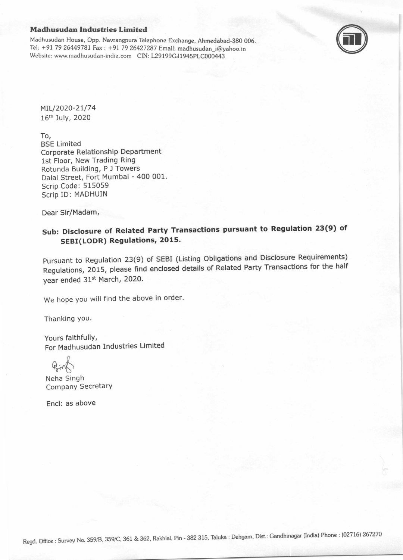## Madhusudan Industries Limited

Madhusudan House, Opp. Navrangpura Telephone Exchange, Ahmedabad-38O 006. Tel: +91 79 26449781 Fax : +91 79 26427287 Email: madhusudan i@yahoo.in Website: www.madhusudan-india.com CIN: L29199GJ1945PLC000443



MIL/2020-21/74 16th July, 2020

To,

BSE Limited Corporate Relationship Department lst Floor, New Trading Ring Rotunda Building, P J Towers Dalal Street, Fort Mumbai - 400 001. Scrip Code: 515059 Scrip ID: MADHUIN

Dear Sir/Madam,

## Sub: Disclosure of Related Party Transactions pursuant to Regulation 23(9) of SEBI(LODR) Regulations, 2015.

pursuant to Regulation 23(g) of sEBI (Listing obligations and Disclosure Requirements) Regulations, 2015, please find enclosed details of Related Party Transactions for the half year ended 31st March, 2020.

We hope you will find the above in order.

Thanking You.

Yours faithfullY, For Madhusudan Industries Limited

Neha Singh Company Secretary

Encl: as above